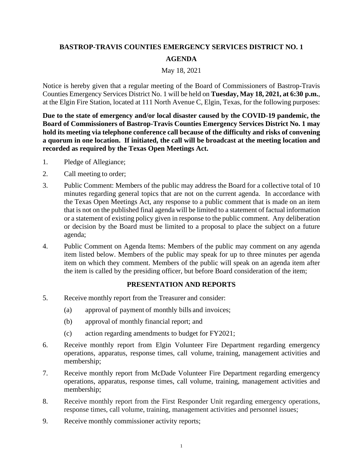## **BASTROP-TRAVIS COUNTIES EMERGENCY SERVICES DISTRICT NO. 1 AGENDA**

## May 18, 2021

Notice is hereby given that a regular meeting of the Board of Commissioners of Bastrop-Travis Counties Emergency Services District No. 1 will be held on **Tuesday, May 18, 2021, at 6:30 p.m.**, at the Elgin Fire Station, located at 111 North Avenue C, Elgin, Texas, for the following purposes:

**Due to the state of emergency and/or local disaster caused by the COVID-19 pandemic, the Board of Commissioners of Bastrop-Travis Counties Emergency Services District No. 1 may hold its meeting via telephone conference call because of the difficulty and risks of convening a quorum in one location. If initiated, the call will be broadcast at the meeting location and recorded as required by the Texas Open Meetings Act.**

- 1. Pledge of Allegiance;
- 2. Call meeting to order;
- 3. Public Comment: Members of the public may address the Board for a collective total of 10 minutes regarding general topics that are not on the current agenda. In accordance with the Texas Open Meetings Act, any response to a public comment that is made on an item that is not on the published final agenda will be limited to a statement of factual information or a statement of existing policy given in response to the public comment. Any deliberation or decision by the Board must be limited to a proposal to place the subject on a future agenda;
- 4. Public Comment on Agenda Items: Members of the public may comment on any agenda item listed below. Members of the public may speak for up to three minutes per agenda item on which they comment. Members of the public will speak on an agenda item after the item is called by the presiding officer, but before Board consideration of the item;

## **PRESENTATION AND REPORTS**

- 5. Receive monthly report from the Treasurer and consider:
	- (a) approval of payment of monthly bills and invoices;
	- (b) approval of monthly financial report; and
	- (c) action regarding amendments to budget for FY2021;
- 6. Receive monthly report from Elgin Volunteer Fire Department regarding emergency operations, apparatus, response times, call volume, training, management activities and membership;
- 7. Receive monthly report from McDade Volunteer Fire Department regarding emergency operations, apparatus, response times, call volume, training, management activities and membership;
- 8. Receive monthly report from the First Responder Unit regarding emergency operations, response times, call volume, training, management activities and personnel issues;
- 9. Receive monthly commissioner activity reports;